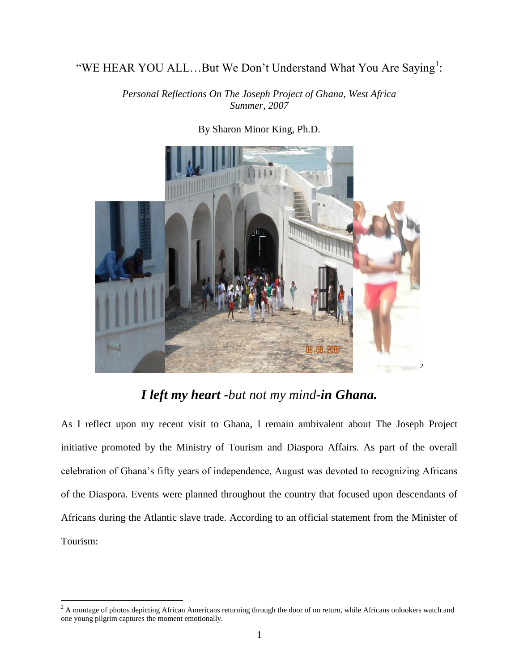## "WE HEAR YOU ALL...But We Don't Understand What You Are Saying<sup>1</sup>:

*Personal Reflections On The Joseph Project of Ghana, West Africa Summer, 2007*



By Sharon Minor King, Ph.D.

## *I left my heart -but not my mind-in Ghana.*

As I reflect upon my recent visit to Ghana, I remain ambivalent about The Joseph Project initiative promoted by the Ministry of Tourism and Diaspora Affairs. As part of the overall celebration of Ghana's fifty years of independence, August was devoted to recognizing Africans of the Diaspora. Events were planned throughout the country that focused upon descendants of Africans during the Atlantic slave trade. According to an official statement from the Minister of Tourism:

 $\overline{a}$ 

 $2<sup>2</sup>$  A montage of photos depicting African Americans returning through the door of no return, while Africans onlookers watch and one young pilgrim captures the moment emotionally.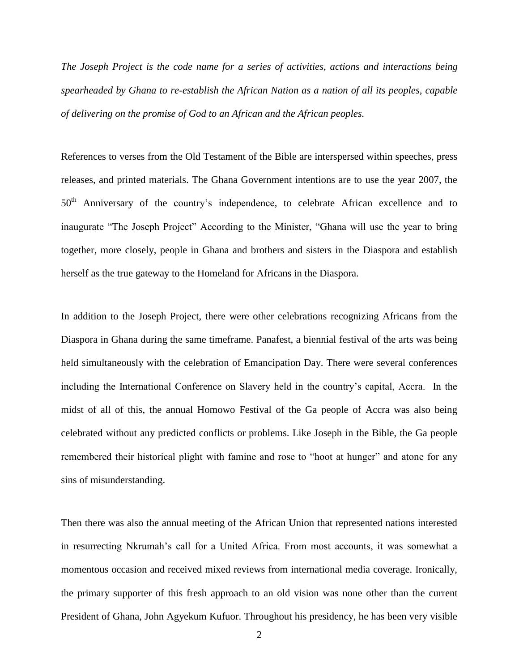*The Joseph Project is the code name for a series of activities, actions and interactions being spearheaded by Ghana to re-establish the African Nation as a nation of all its peoples, capable of delivering on the promise of God to an African and the African peoples.* 

References to verses from the Old Testament of the Bible are interspersed within speeches, press releases, and printed materials. The Ghana Government intentions are to use the year 2007, the 50<sup>th</sup> Anniversary of the country's independence, to celebrate African excellence and to inaugurate "The Joseph Project" According to the Minister, "Ghana will use the year to bring together, more closely, people in Ghana and brothers and sisters in the Diaspora and establish herself as the true gateway to the Homeland for Africans in the Diaspora.

In addition to the Joseph Project, there were other celebrations recognizing Africans from the Diaspora in Ghana during the same timeframe. Panafest, a biennial festival of the arts was being held simultaneously with the celebration of Emancipation Day. There were several conferences including the International Conference on Slavery held in the country's capital, Accra. In the midst of all of this, the annual Homowo Festival of the Ga people of Accra was also being celebrated without any predicted conflicts or problems. Like Joseph in the Bible, the Ga people remembered their historical plight with famine and rose to "hoot at hunger" and atone for any sins of misunderstanding.

Then there was also the annual meeting of the African Union that represented nations interested in resurrecting Nkrumah's call for a United Africa. From most accounts, it was somewhat a momentous occasion and received mixed reviews from international media coverage. Ironically, the primary supporter of this fresh approach to an old vision was none other than the current President of Ghana, John Agyekum Kufuor. Throughout his presidency, he has been very visible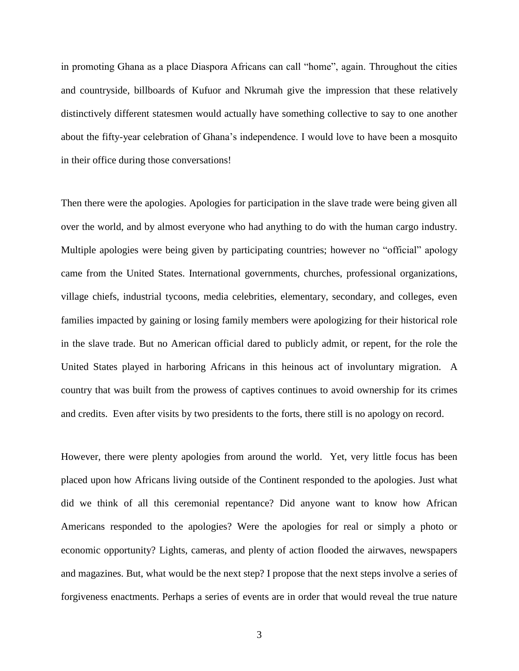in promoting Ghana as a place Diaspora Africans can call "home", again. Throughout the cities and countryside, billboards of Kufuor and Nkrumah give the impression that these relatively distinctively different statesmen would actually have something collective to say to one another about the fifty-year celebration of Ghana's independence. I would love to have been a mosquito in their office during those conversations!

Then there were the apologies. Apologies for participation in the slave trade were being given all over the world, and by almost everyone who had anything to do with the human cargo industry. Multiple apologies were being given by participating countries; however no "official" apology came from the United States. International governments, churches, professional organizations, village chiefs, industrial tycoons, media celebrities, elementary, secondary, and colleges, even families impacted by gaining or losing family members were apologizing for their historical role in the slave trade. But no American official dared to publicly admit, or repent, for the role the United States played in harboring Africans in this heinous act of involuntary migration. A country that was built from the prowess of captives continues to avoid ownership for its crimes and credits. Even after visits by two presidents to the forts, there still is no apology on record.

However, there were plenty apologies from around the world. Yet, very little focus has been placed upon how Africans living outside of the Continent responded to the apologies. Just what did we think of all this ceremonial repentance? Did anyone want to know how African Americans responded to the apologies? Were the apologies for real or simply a photo or economic opportunity? Lights, cameras, and plenty of action flooded the airwaves, newspapers and magazines. But, what would be the next step? I propose that the next steps involve a series of forgiveness enactments. Perhaps a series of events are in order that would reveal the true nature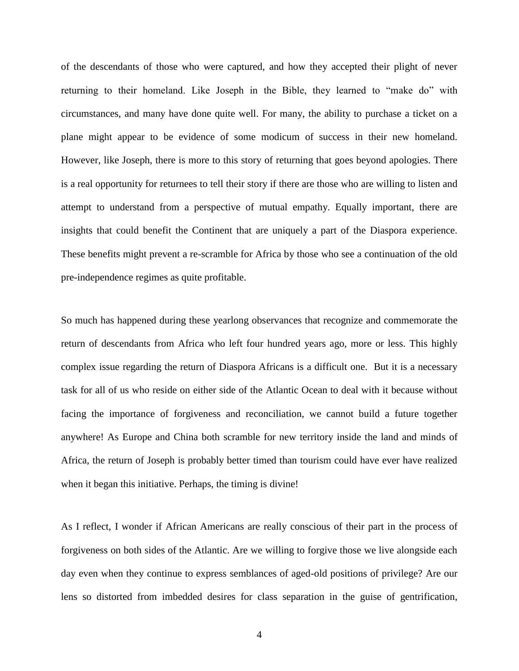of the descendants of those who were captured, and how they accepted their plight of never returning to their homeland. Like Joseph in the Bible, they learned to "make do" with circumstances, and many have done quite well. For many, the ability to purchase a ticket on a plane might appear to be evidence of some modicum of success in their new homeland. However, like Joseph, there is more to this story of returning that goes beyond apologies. There is a real opportunity for returnees to tell their story if there are those who are willing to listen and attempt to understand from a perspective of mutual empathy. Equally important, there are insights that could benefit the Continent that are uniquely a part of the Diaspora experience. These benefits might prevent a re-scramble for Africa by those who see a continuation of the old pre-independence regimes as quite profitable.

So much has happened during these yearlong observances that recognize and commemorate the return of descendants from Africa who left four hundred years ago, more or less. This highly complex issue regarding the return of Diaspora Africans is a difficult one. But it is a necessary task for all of us who reside on either side of the Atlantic Ocean to deal with it because without facing the importance of forgiveness and reconciliation, we cannot build a future together anywhere! As Europe and China both scramble for new territory inside the land and minds of Africa, the return of Joseph is probably better timed than tourism could have ever have realized when it began this initiative. Perhaps, the timing is divine!

As I reflect, I wonder if African Americans are really conscious of their part in the process of forgiveness on both sides of the Atlantic. Are we willing to forgive those we live alongside each day even when they continue to express semblances of aged-old positions of privilege? Are our lens so distorted from imbedded desires for class separation in the guise of gentrification,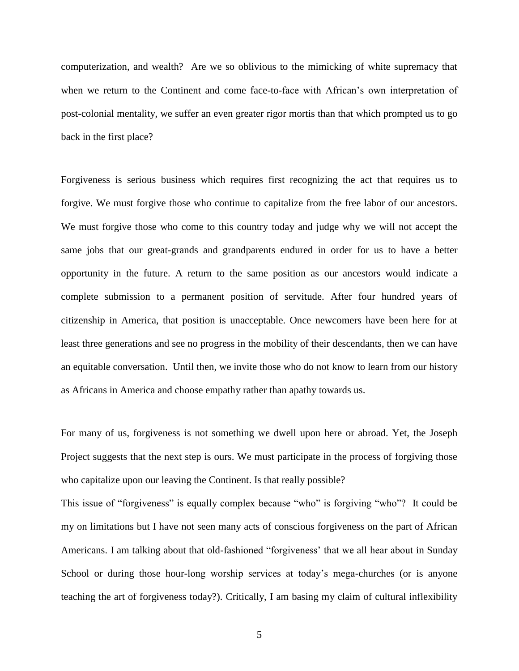computerization, and wealth? Are we so oblivious to the mimicking of white supremacy that when we return to the Continent and come face-to-face with African's own interpretation of post-colonial mentality, we suffer an even greater rigor mortis than that which prompted us to go back in the first place?

Forgiveness is serious business which requires first recognizing the act that requires us to forgive. We must forgive those who continue to capitalize from the free labor of our ancestors. We must forgive those who come to this country today and judge why we will not accept the same jobs that our great-grands and grandparents endured in order for us to have a better opportunity in the future. A return to the same position as our ancestors would indicate a complete submission to a permanent position of servitude. After four hundred years of citizenship in America, that position is unacceptable. Once newcomers have been here for at least three generations and see no progress in the mobility of their descendants, then we can have an equitable conversation. Until then, we invite those who do not know to learn from our history as Africans in America and choose empathy rather than apathy towards us.

For many of us, forgiveness is not something we dwell upon here or abroad. Yet, the Joseph Project suggests that the next step is ours. We must participate in the process of forgiving those who capitalize upon our leaving the Continent. Is that really possible?

This issue of "forgiveness" is equally complex because "who" is forgiving "who"? It could be my on limitations but I have not seen many acts of conscious forgiveness on the part of African Americans. I am talking about that old-fashioned "forgiveness' that we all hear about in Sunday School or during those hour-long worship services at today's mega-churches (or is anyone teaching the art of forgiveness today?). Critically, I am basing my claim of cultural inflexibility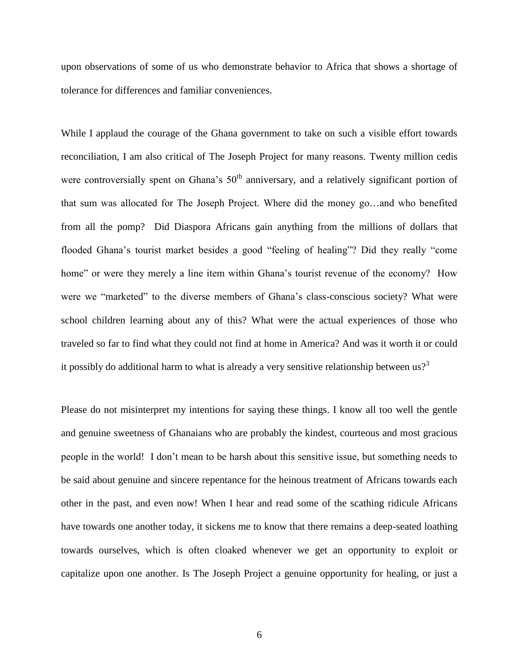upon observations of some of us who demonstrate behavior to Africa that shows a shortage of tolerance for differences and familiar conveniences.

While I applaud the courage of the Ghana government to take on such a visible effort towards reconciliation, I am also critical of The Joseph Project for many reasons. Twenty million cedis were controversially spent on Ghana's  $50<sup>th</sup>$  anniversary, and a relatively significant portion of that sum was allocated for The Joseph Project. Where did the money go…and who benefited from all the pomp? Did Diaspora Africans gain anything from the millions of dollars that flooded Ghana's tourist market besides a good "feeling of healing"? Did they really "come home" or were they merely a line item within Ghana's tourist revenue of the economy? How were we "marketed" to the diverse members of Ghana's class-conscious society? What were school children learning about any of this? What were the actual experiences of those who traveled so far to find what they could not find at home in America? And was it worth it or could it possibly do additional harm to what is already a very sensitive relationship between  $us?$ <sup>3</sup>

Please do not misinterpret my intentions for saying these things. I know all too well the gentle and genuine sweetness of Ghanaians who are probably the kindest, courteous and most gracious people in the world! I don't mean to be harsh about this sensitive issue, but something needs to be said about genuine and sincere repentance for the heinous treatment of Africans towards each other in the past, and even now! When I hear and read some of the scathing ridicule Africans have towards one another today, it sickens me to know that there remains a deep-seated loathing towards ourselves, which is often cloaked whenever we get an opportunity to exploit or capitalize upon one another. Is The Joseph Project a genuine opportunity for healing, or just a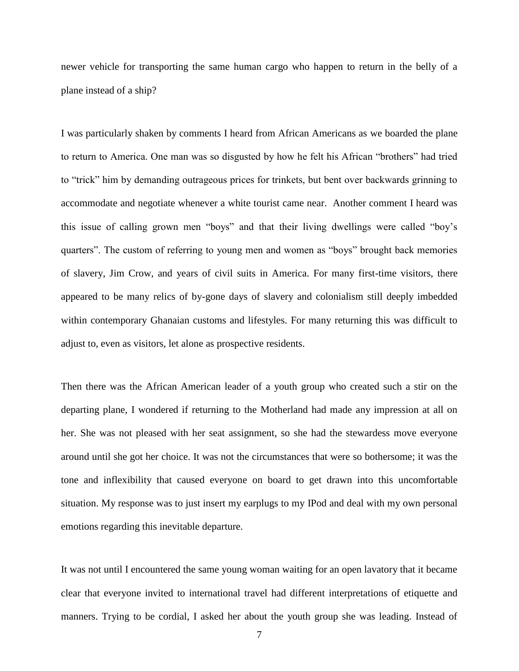newer vehicle for transporting the same human cargo who happen to return in the belly of a plane instead of a ship?

I was particularly shaken by comments I heard from African Americans as we boarded the plane to return to America. One man was so disgusted by how he felt his African "brothers" had tried to "trick" him by demanding outrageous prices for trinkets, but bent over backwards grinning to accommodate and negotiate whenever a white tourist came near. Another comment I heard was this issue of calling grown men "boys" and that their living dwellings were called "boy's quarters". The custom of referring to young men and women as "boys" brought back memories of slavery, Jim Crow, and years of civil suits in America. For many first-time visitors, there appeared to be many relics of by-gone days of slavery and colonialism still deeply imbedded within contemporary Ghanaian customs and lifestyles. For many returning this was difficult to adjust to, even as visitors, let alone as prospective residents.

Then there was the African American leader of a youth group who created such a stir on the departing plane, I wondered if returning to the Motherland had made any impression at all on her. She was not pleased with her seat assignment, so she had the stewardess move everyone around until she got her choice. It was not the circumstances that were so bothersome; it was the tone and inflexibility that caused everyone on board to get drawn into this uncomfortable situation. My response was to just insert my earplugs to my IPod and deal with my own personal emotions regarding this inevitable departure.

It was not until I encountered the same young woman waiting for an open lavatory that it became clear that everyone invited to international travel had different interpretations of etiquette and manners. Trying to be cordial, I asked her about the youth group she was leading. Instead of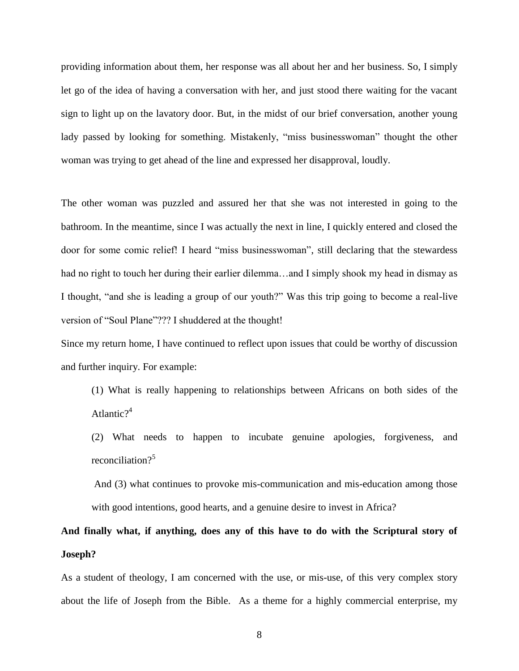providing information about them, her response was all about her and her business. So, I simply let go of the idea of having a conversation with her, and just stood there waiting for the vacant sign to light up on the lavatory door. But, in the midst of our brief conversation, another young lady passed by looking for something. Mistakenly, "miss businesswoman" thought the other woman was trying to get ahead of the line and expressed her disapproval, loudly.

The other woman was puzzled and assured her that she was not interested in going to the bathroom. In the meantime, since I was actually the next in line, I quickly entered and closed the door for some comic relief! I heard "miss businesswoman", still declaring that the stewardess had no right to touch her during their earlier dilemma...and I simply shook my head in dismay as I thought, "and she is leading a group of our youth?" Was this trip going to become a real-live version of "Soul Plane"??? I shuddered at the thought!

Since my return home, I have continued to reflect upon issues that could be worthy of discussion and further inquiry. For example:

- (1) What is really happening to relationships between Africans on both sides of the Atlantic $?^4$
- (2) What needs to happen to incubate genuine apologies, forgiveness, and reconciliation?<sup>5</sup>
- And (3) what continues to provoke mis-communication and mis-education among those with good intentions, good hearts, and a genuine desire to invest in Africa?

## **And finally what, if anything, does any of this have to do with the Scriptural story of Joseph?**

As a student of theology, I am concerned with the use, or mis-use, of this very complex story about the life of Joseph from the Bible. As a theme for a highly commercial enterprise, my

8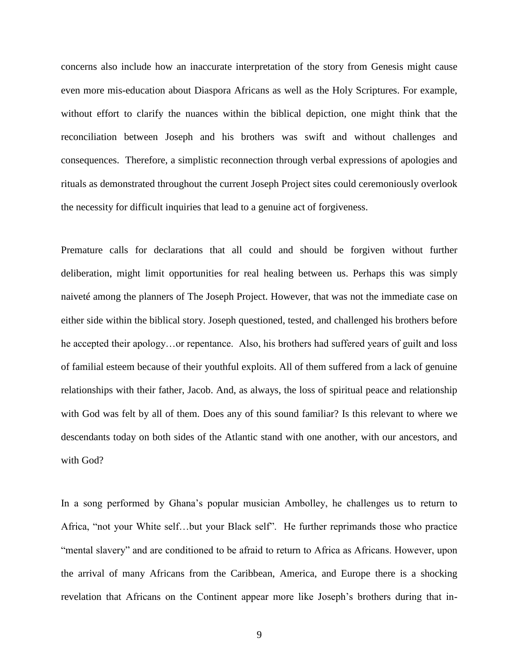concerns also include how an inaccurate interpretation of the story from Genesis might cause even more mis-education about Diaspora Africans as well as the Holy Scriptures. For example, without effort to clarify the nuances within the biblical depiction, one might think that the reconciliation between Joseph and his brothers was swift and without challenges and consequences. Therefore, a simplistic reconnection through verbal expressions of apologies and rituals as demonstrated throughout the current Joseph Project sites could ceremoniously overlook the necessity for difficult inquiries that lead to a genuine act of forgiveness.

Premature calls for declarations that all could and should be forgiven without further deliberation, might limit opportunities for real healing between us. Perhaps this was simply naiveté among the planners of The Joseph Project. However, that was not the immediate case on either side within the biblical story. Joseph questioned, tested, and challenged his brothers before he accepted their apology…or repentance. Also, his brothers had suffered years of guilt and loss of familial esteem because of their youthful exploits. All of them suffered from a lack of genuine relationships with their father, Jacob. And, as always, the loss of spiritual peace and relationship with God was felt by all of them. Does any of this sound familiar? Is this relevant to where we descendants today on both sides of the Atlantic stand with one another, with our ancestors, and with God?

In a song performed by Ghana's popular musician Ambolley, he challenges us to return to Africa, "not your White self…but your Black self". He further reprimands those who practice "mental slavery" and are conditioned to be afraid to return to Africa as Africans. However, upon the arrival of many Africans from the Caribbean, America, and Europe there is a shocking revelation that Africans on the Continent appear more like Joseph's brothers during that in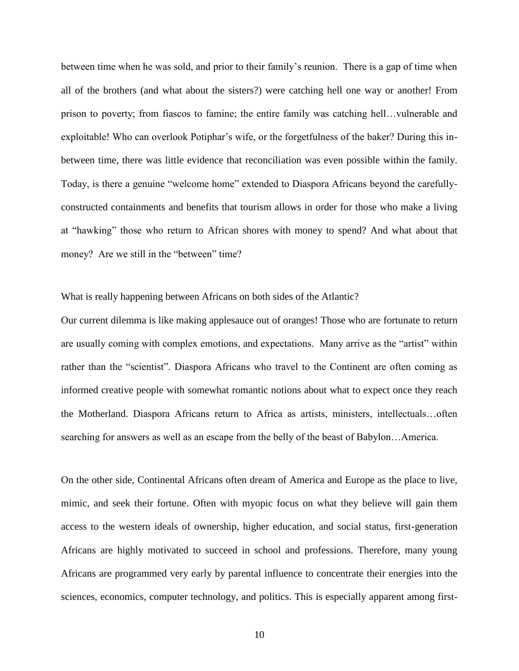between time when he was sold, and prior to their family's reunion. There is a gap of time when all of the brothers (and what about the sisters?) were catching hell one way or another! From prison to poverty; from fiascos to famine; the entire family was catching hell…vulnerable and exploitable! Who can overlook Potiphar's wife, or the forgetfulness of the baker? During this inbetween time, there was little evidence that reconciliation was even possible within the family. Today, is there a genuine "welcome home" extended to Diaspora Africans beyond the carefullyconstructed containments and benefits that tourism allows in order for those who make a living at "hawking" those who return to African shores with money to spend? And what about that money? Are we still in the "between" time?

What is really happening between Africans on both sides of the Atlantic?

Our current dilemma is like making applesauce out of oranges! Those who are fortunate to return are usually coming with complex emotions, and expectations. Many arrive as the "artist" within rather than the "scientist". Diaspora Africans who travel to the Continent are often coming as informed creative people with somewhat romantic notions about what to expect once they reach the Motherland. Diaspora Africans return to Africa as artists, ministers, intellectuals…often searching for answers as well as an escape from the belly of the beast of Babylon…America.

On the other side, Continental Africans often dream of America and Europe as the place to live, mimic, and seek their fortune. Often with myopic focus on what they believe will gain them access to the western ideals of ownership, higher education, and social status, first-generation Africans are highly motivated to succeed in school and professions. Therefore, many young Africans are programmed very early by parental influence to concentrate their energies into the sciences, economics, computer technology, and politics. This is especially apparent among first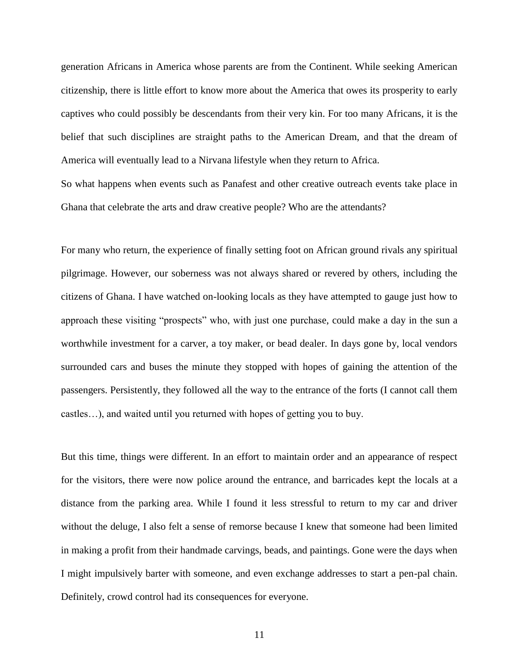generation Africans in America whose parents are from the Continent. While seeking American citizenship, there is little effort to know more about the America that owes its prosperity to early captives who could possibly be descendants from their very kin. For too many Africans, it is the belief that such disciplines are straight paths to the American Dream, and that the dream of America will eventually lead to a Nirvana lifestyle when they return to Africa.

So what happens when events such as Panafest and other creative outreach events take place in Ghana that celebrate the arts and draw creative people? Who are the attendants?

For many who return, the experience of finally setting foot on African ground rivals any spiritual pilgrimage. However, our soberness was not always shared or revered by others, including the citizens of Ghana. I have watched on-looking locals as they have attempted to gauge just how to approach these visiting "prospects" who, with just one purchase, could make a day in the sun a worthwhile investment for a carver, a toy maker, or bead dealer. In days gone by, local vendors surrounded cars and buses the minute they stopped with hopes of gaining the attention of the passengers. Persistently, they followed all the way to the entrance of the forts (I cannot call them castles…), and waited until you returned with hopes of getting you to buy.

But this time, things were different. In an effort to maintain order and an appearance of respect for the visitors, there were now police around the entrance, and barricades kept the locals at a distance from the parking area. While I found it less stressful to return to my car and driver without the deluge, I also felt a sense of remorse because I knew that someone had been limited in making a profit from their handmade carvings, beads, and paintings. Gone were the days when I might impulsively barter with someone, and even exchange addresses to start a pen-pal chain. Definitely, crowd control had its consequences for everyone.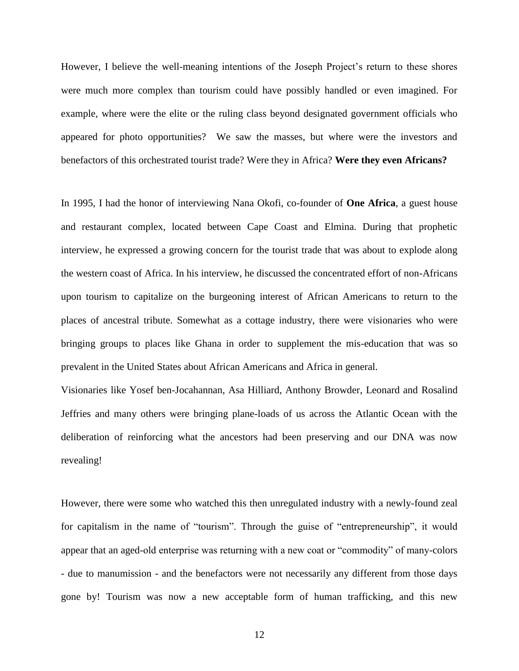However, I believe the well-meaning intentions of the Joseph Project's return to these shores were much more complex than tourism could have possibly handled or even imagined. For example, where were the elite or the ruling class beyond designated government officials who appeared for photo opportunities? We saw the masses, but where were the investors and benefactors of this orchestrated tourist trade? Were they in Africa? **Were they even Africans?**

In 1995, I had the honor of interviewing Nana Okofi, co-founder of **One Africa**, a guest house and restaurant complex, located between Cape Coast and Elmina. During that prophetic interview, he expressed a growing concern for the tourist trade that was about to explode along the western coast of Africa. In his interview, he discussed the concentrated effort of non-Africans upon tourism to capitalize on the burgeoning interest of African Americans to return to the places of ancestral tribute. Somewhat as a cottage industry, there were visionaries who were bringing groups to places like Ghana in order to supplement the mis-education that was so prevalent in the United States about African Americans and Africa in general.

Visionaries like Yosef ben-Jocahannan, Asa Hilliard, Anthony Browder, Leonard and Rosalind Jeffries and many others were bringing plane-loads of us across the Atlantic Ocean with the deliberation of reinforcing what the ancestors had been preserving and our DNA was now revealing!

However, there were some who watched this then unregulated industry with a newly-found zeal for capitalism in the name of "tourism". Through the guise of "entrepreneurship", it would appear that an aged-old enterprise was returning with a new coat or "commodity" of many-colors - due to manumission - and the benefactors were not necessarily any different from those days gone by! Tourism was now a new acceptable form of human trafficking, and this new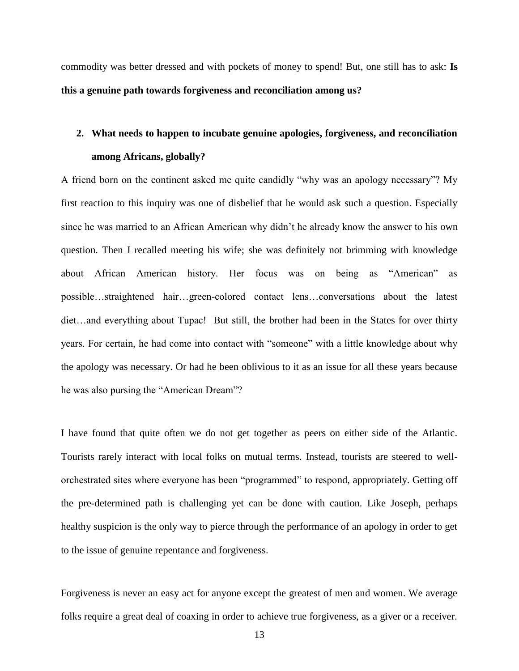commodity was better dressed and with pockets of money to spend! But, one still has to ask: **Is this a genuine path towards forgiveness and reconciliation among us?**

## **2. What needs to happen to incubate genuine apologies, forgiveness, and reconciliation among Africans, globally?**

A friend born on the continent asked me quite candidly "why was an apology necessary"? My first reaction to this inquiry was one of disbelief that he would ask such a question. Especially since he was married to an African American why didn't he already know the answer to his own question. Then I recalled meeting his wife; she was definitely not brimming with knowledge about African American history. Her focus was on being as "American" as possible…straightened hair…green-colored contact lens…conversations about the latest diet…and everything about Tupac! But still, the brother had been in the States for over thirty years. For certain, he had come into contact with "someone" with a little knowledge about why the apology was necessary. Or had he been oblivious to it as an issue for all these years because he was also pursing the "American Dream"?

I have found that quite often we do not get together as peers on either side of the Atlantic. Tourists rarely interact with local folks on mutual terms. Instead, tourists are steered to wellorchestrated sites where everyone has been "programmed" to respond, appropriately. Getting off the pre-determined path is challenging yet can be done with caution. Like Joseph, perhaps healthy suspicion is the only way to pierce through the performance of an apology in order to get to the issue of genuine repentance and forgiveness.

Forgiveness is never an easy act for anyone except the greatest of men and women. We average folks require a great deal of coaxing in order to achieve true forgiveness, as a giver or a receiver.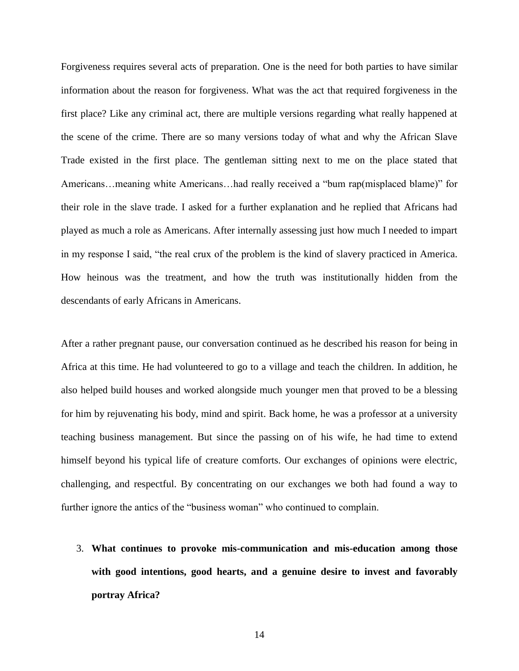Forgiveness requires several acts of preparation. One is the need for both parties to have similar information about the reason for forgiveness. What was the act that required forgiveness in the first place? Like any criminal act, there are multiple versions regarding what really happened at the scene of the crime. There are so many versions today of what and why the African Slave Trade existed in the first place. The gentleman sitting next to me on the place stated that Americans…meaning white Americans…had really received a "bum rap(misplaced blame)" for their role in the slave trade. I asked for a further explanation and he replied that Africans had played as much a role as Americans. After internally assessing just how much I needed to impart in my response I said, "the real crux of the problem is the kind of slavery practiced in America. How heinous was the treatment, and how the truth was institutionally hidden from the descendants of early Africans in Americans.

After a rather pregnant pause, our conversation continued as he described his reason for being in Africa at this time. He had volunteered to go to a village and teach the children. In addition, he also helped build houses and worked alongside much younger men that proved to be a blessing for him by rejuvenating his body, mind and spirit. Back home, he was a professor at a university teaching business management. But since the passing on of his wife, he had time to extend himself beyond his typical life of creature comforts. Our exchanges of opinions were electric, challenging, and respectful. By concentrating on our exchanges we both had found a way to further ignore the antics of the "business woman" who continued to complain.

3. **What continues to provoke mis-communication and mis-education among those with good intentions, good hearts, and a genuine desire to invest and favorably portray Africa?**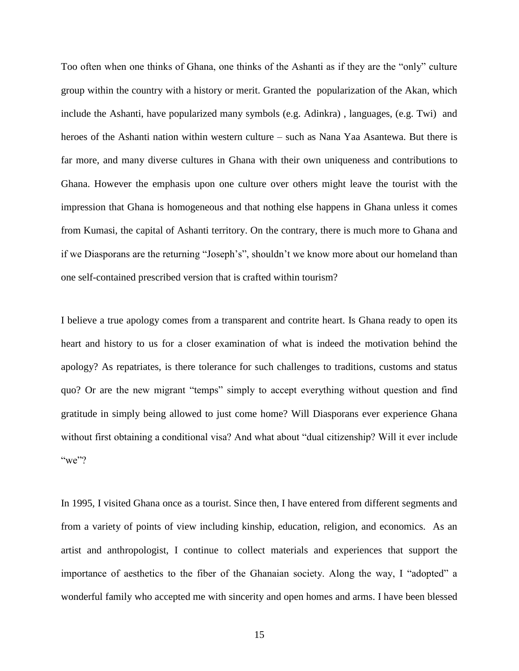Too often when one thinks of Ghana, one thinks of the Ashanti as if they are the "only" culture group within the country with a history or merit. Granted the popularization of the Akan, which include the Ashanti, have popularized many symbols (e.g. Adinkra) , languages, (e.g. Twi) and heroes of the Ashanti nation within western culture – such as Nana Yaa Asantewa. But there is far more, and many diverse cultures in Ghana with their own uniqueness and contributions to Ghana. However the emphasis upon one culture over others might leave the tourist with the impression that Ghana is homogeneous and that nothing else happens in Ghana unless it comes from Kumasi, the capital of Ashanti territory. On the contrary, there is much more to Ghana and if we Diasporans are the returning "Joseph's", shouldn't we know more about our homeland than one self-contained prescribed version that is crafted within tourism?

I believe a true apology comes from a transparent and contrite heart. Is Ghana ready to open its heart and history to us for a closer examination of what is indeed the motivation behind the apology? As repatriates, is there tolerance for such challenges to traditions, customs and status quo? Or are the new migrant "temps" simply to accept everything without question and find gratitude in simply being allowed to just come home? Will Diasporans ever experience Ghana without first obtaining a conditional visa? And what about "dual citizenship? Will it ever include " $we$ "?

In 1995, I visited Ghana once as a tourist. Since then, I have entered from different segments and from a variety of points of view including kinship, education, religion, and economics. As an artist and anthropologist, I continue to collect materials and experiences that support the importance of aesthetics to the fiber of the Ghanaian society. Along the way, I "adopted" a wonderful family who accepted me with sincerity and open homes and arms. I have been blessed